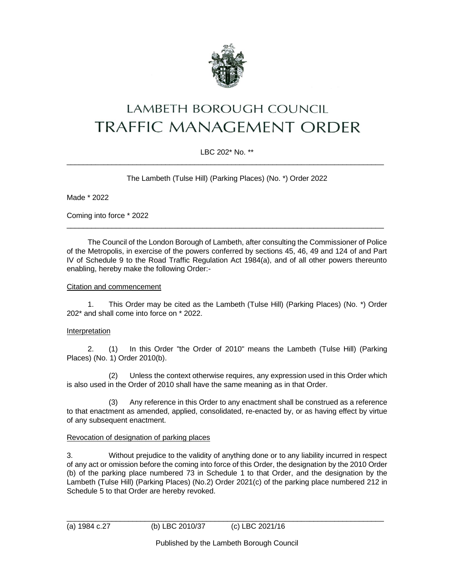

# **LAMBETH BOROUGH COUNCIL TRAFFIC MANAGEMENT ORDER**

# LBC 202\* No. \*\*  $\_$  ,  $\_$  ,  $\_$  ,  $\_$  ,  $\_$  ,  $\_$  ,  $\_$  ,  $\_$  ,  $\_$  ,  $\_$  ,  $\_$  ,  $\_$  ,  $\_$  ,  $\_$  ,  $\_$  ,  $\_$  ,  $\_$  ,  $\_$  ,  $\_$  ,  $\_$  ,  $\_$  ,  $\_$  ,  $\_$  ,  $\_$  ,  $\_$  ,  $\_$  ,  $\_$  ,  $\_$  ,  $\_$  ,  $\_$  ,  $\_$  ,  $\_$  ,  $\_$  ,  $\_$  ,  $\_$  ,  $\_$  ,  $\_$  ,

The Lambeth (Tulse Hill) (Parking Places) (No. \*) Order 2022

Made \* 2022

Coming into force \* 2022

The Council of the London Borough of Lambeth, after consulting the Commissioner of Police of the Metropolis, in exercise of the powers conferred by sections 45, 46, 49 and 124 of and Part IV of Schedule 9 to the Road Traffic Regulation Act 1984(a), and of all other powers thereunto enabling, hereby make the following Order:-

\_\_\_\_\_\_\_\_\_\_\_\_\_\_\_\_\_\_\_\_\_\_\_\_\_\_\_\_\_\_\_\_\_\_\_\_\_\_\_\_\_\_\_\_\_\_\_\_\_\_\_\_\_\_\_\_\_\_\_\_\_\_\_\_\_\_\_\_\_\_\_\_\_\_\_\_\_

## Citation and commencement

1. This Order may be cited as the Lambeth (Tulse Hill) (Parking Places) (No. \*) Order 202\* and shall come into force on \* 2022.

#### Interpretation

2. (1) In this Order "the Order of 2010" means the Lambeth (Tulse Hill) (Parking Places) (No. 1) Order 2010(b).

(2) Unless the context otherwise requires, any expression used in this Order which is also used in the Order of 2010 shall have the same meaning as in that Order.

(3) Any reference in this Order to any enactment shall be construed as a reference to that enactment as amended, applied, consolidated, re-enacted by, or as having effect by virtue of any subsequent enactment.

## Revocation of designation of parking places

3. Without prejudice to the validity of anything done or to any liability incurred in respect of any act or omission before the coming into force of this Order, the designation by the 2010 Order (b) of the parking place numbered 73 in Schedule 1 to that Order, and the designation by the Lambeth (Tulse Hill) (Parking Places) (No.2) Order 2021(c) of the parking place numbered 212 in Schedule 5 to that Order are hereby revoked.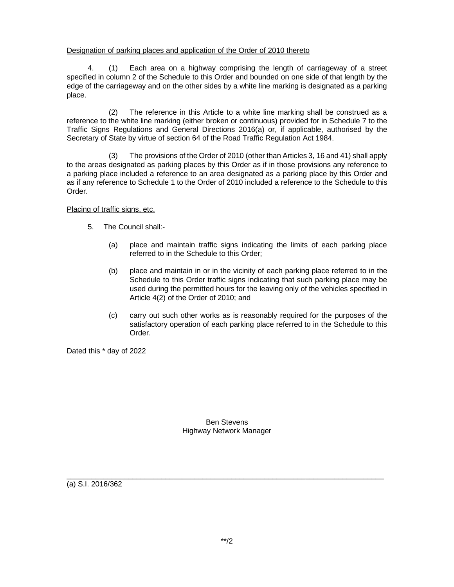## Designation of parking places and application of the Order of 2010 thereto

4. (1) Each area on a highway comprising the length of carriageway of a street specified in column 2 of the Schedule to this Order and bounded on one side of that length by the edge of the carriageway and on the other sides by a white line marking is designated as a parking place.

(2) The reference in this Article to a white line marking shall be construed as a reference to the white line marking (either broken or continuous) provided for in Schedule 7 to the Traffic Signs Regulations and General Directions 2016(a) or, if applicable, authorised by the Secretary of State by virtue of section 64 of the Road Traffic Regulation Act 1984.

(3) The provisions of the Order of 2010 (other than Articles 3, 16 and 41) shall apply to the areas designated as parking places by this Order as if in those provisions any reference to a parking place included a reference to an area designated as a parking place by this Order and as if any reference to Schedule 1 to the Order of 2010 included a reference to the Schedule to this Order.

Placing of traffic signs, etc.

- 5. The Council shall:-
	- (a) place and maintain traffic signs indicating the limits of each parking place referred to in the Schedule to this Order;
	- (b) place and maintain in or in the vicinity of each parking place referred to in the Schedule to this Order traffic signs indicating that such parking place may be used during the permitted hours for the leaving only of the vehicles specified in Article 4(2) of the Order of 2010; and
	- (c) carry out such other works as is reasonably required for the purposes of the satisfactory operation of each parking place referred to in the Schedule to this Order.

Dated this \* day of 2022

Ben Stevens Highway Network Manager

 $\_$  ,  $\_$  ,  $\_$  ,  $\_$  ,  $\_$  ,  $\_$  ,  $\_$  ,  $\_$  ,  $\_$  ,  $\_$  ,  $\_$  ,  $\_$  ,  $\_$  ,  $\_$  ,  $\_$  ,  $\_$  ,  $\_$  ,  $\_$  ,  $\_$  ,  $\_$  ,  $\_$  ,  $\_$  ,  $\_$  ,  $\_$  ,  $\_$  ,  $\_$  ,  $\_$  ,  $\_$  ,  $\_$  ,  $\_$  ,  $\_$  ,  $\_$  ,  $\_$  ,  $\_$  ,  $\_$  ,  $\_$  ,  $\_$  ,

(a) S.I. 2016/362